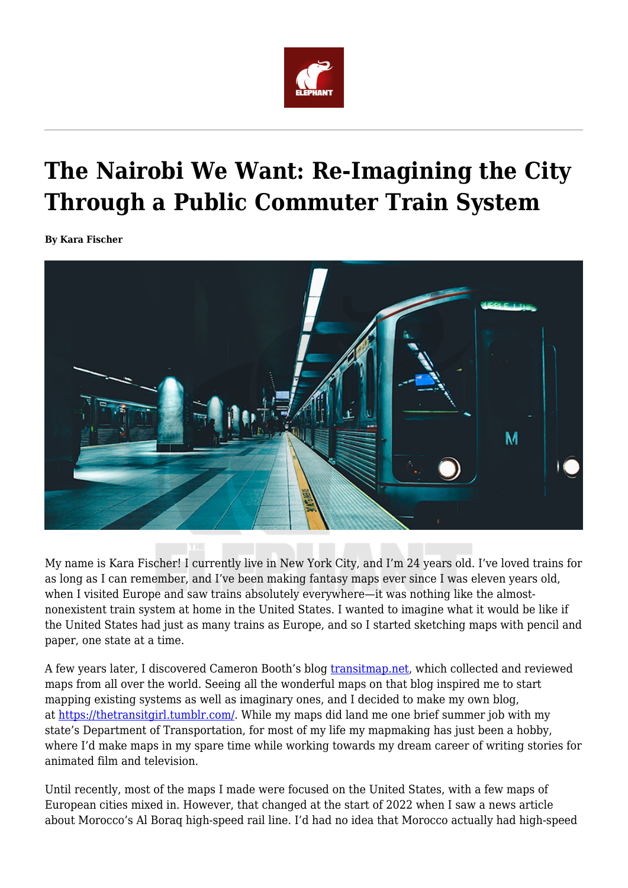

## **The Nairobi We Want: Re-Imagining the City Through a Public Commuter Train System**

**By Kara Fischer**



My name is Kara Fischer! I currently live in New York City, and I'm 24 years old. I've loved trains for as long as I can remember, and I've been making fantasy maps ever since I was eleven years old, when I visited Europe and saw trains absolutely everywhere—it was nothing like the almostnonexistent train system at home in the United States. I wanted to imagine what it would be like if the United States had just as many trains as Europe, and so I started sketching maps with pencil and paper, one state at a time.

A few years later, I discovered Cameron Booth's blog [transitmap.net,](http://transitmap.net/) which collected and reviewed maps from all over the world. Seeing all the wonderful maps on that blog inspired me to start mapping existing systems as well as imaginary ones, and I decided to make my own blog, at [https://thetransitgirl.tumblr.com/.](https://thetransitgirl.tumblr.com/) While my maps did land me one brief summer job with my state's Department of Transportation, for most of my life my mapmaking has just been a hobby, where I'd make maps in my spare time while working towards my dream career of writing stories for animated film and television.

Until recently, most of the maps I made were focused on the United States, with a few maps of European cities mixed in. However, that changed at the start of 2022 when I saw a news article about Morocco's Al Boraq high-speed rail line. I'd had no idea that Morocco actually had high-speed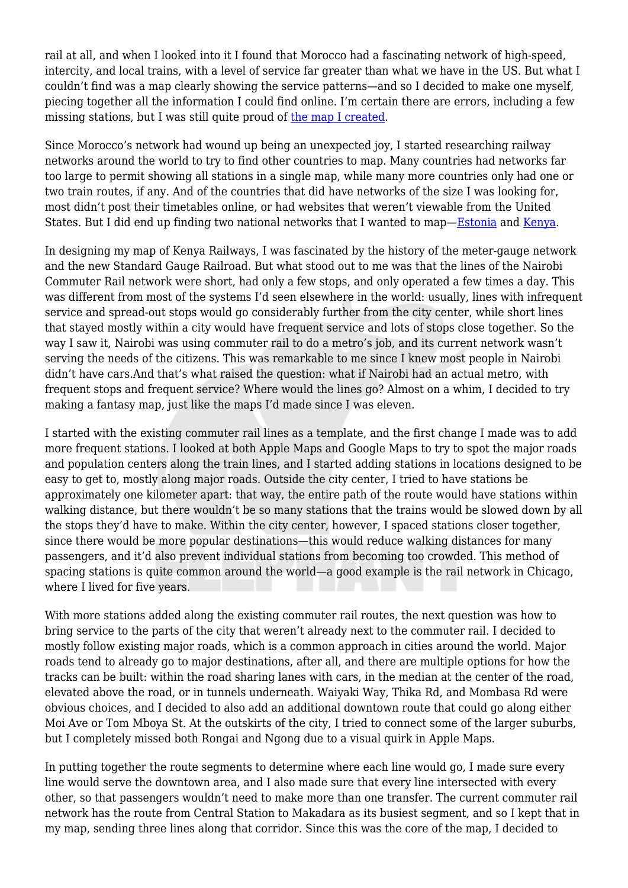rail at all, and when I looked into it I found that Morocco had a fascinating network of high-speed, intercity, and local trains, with a level of service far greater than what we have in the US. But what I couldn't find was a map clearly showing the service patterns—and so I decided to make one myself, piecing together all the information I could find online. I'm certain there are errors, including a few missing stations, but I was still quite proud of [the map I created](https://thetransitgirl.tumblr.com/post/677810048974684160/).

Since Morocco's network had wound up being an unexpected joy, I started researching railway networks around the world to try to find other countries to map. Many countries had networks far too large to permit showing all stations in a single map, while many more countries only had one or two train routes, if any. And of the countries that did have networks of the size I was looking for, most didn't post their timetables online, or had websites that weren't viewable from the United States. But I did end up finding two national networks that I wanted to map[—Estonia](https://thetransitgirl.tumblr.com/post/678287019005345792/) and [Kenya](https://thetransitgirl.tumblr.com/post/678451104205406208/).

In designing my map of Kenya Railways, I was fascinated by the history of the meter-gauge network and the new Standard Gauge Railroad. But what stood out to me was that the lines of the Nairobi Commuter Rail network were short, had only a few stops, and only operated a few times a day. This was different from most of the systems I'd seen elsewhere in the world: usually, lines with infrequent service and spread-out stops would go considerably further from the city center, while short lines that stayed mostly within a city would have frequent service and lots of stops close together. So the way I saw it, Nairobi was using commuter rail to do a metro's job, and its current network wasn't serving the needs of the citizens. This was remarkable to me since I knew most people in Nairobi didn't have cars.And that's what raised the question: what if Nairobi had an actual metro, with frequent stops and frequent service? Where would the lines go? Almost on a whim, I decided to try making a fantasy map, just like the maps I'd made since I was eleven.

I started with the existing commuter rail lines as a template, and the first change I made was to add more frequent stations. I looked at both Apple Maps and Google Maps to try to spot the major roads and population centers along the train lines, and I started adding stations in locations designed to be easy to get to, mostly along major roads. Outside the city center, I tried to have stations be approximately one kilometer apart: that way, the entire path of the route would have stations within walking distance, but there wouldn't be so many stations that the trains would be slowed down by all the stops they'd have to make. Within the city center, however, I spaced stations closer together, since there would be more popular destinations—this would reduce walking distances for many passengers, and it'd also prevent individual stations from becoming too crowded. This method of spacing stations is quite common around the world—a good example is the rail network in Chicago, where I lived for five years.

With more stations added along the existing commuter rail routes, the next question was how to bring service to the parts of the city that weren't already next to the commuter rail. I decided to mostly follow existing major roads, which is a common approach in cities around the world. Major roads tend to already go to major destinations, after all, and there are multiple options for how the tracks can be built: within the road sharing lanes with cars, in the median at the center of the road, elevated above the road, or in tunnels underneath. Waiyaki Way, Thika Rd, and Mombasa Rd were obvious choices, and I decided to also add an additional downtown route that could go along either Moi Ave or Tom Mboya St. At the outskirts of the city, I tried to connect some of the larger suburbs, but I completely missed both Rongai and Ngong due to a visual quirk in Apple Maps.

In putting together the route segments to determine where each line would go, I made sure every line would serve the downtown area, and I also made sure that every line intersected with every other, so that passengers wouldn't need to make more than one transfer. The current commuter rail network has the route from Central Station to Makadara as its busiest segment, and so I kept that in my map, sending three lines along that corridor. Since this was the core of the map, I decided to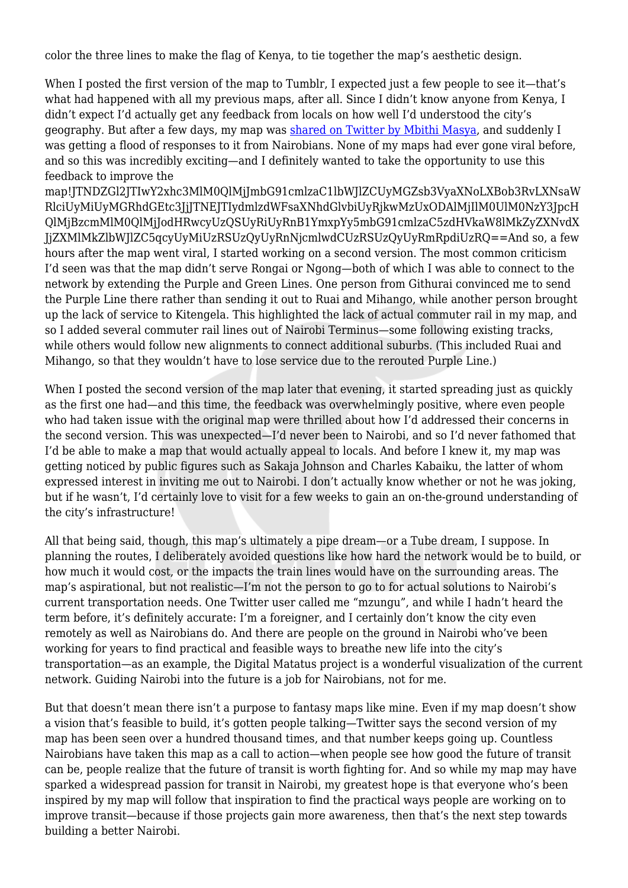color the three lines to make the flag of Kenya, to tie together the map's aesthetic design.

When I posted the first version of the map to Tumblr, I expected just a few people to see it—that's what had happened with all my previous maps, after all. Since I didn't know anyone from Kenya, I didn't expect I'd actually get any feedback from locals on how well I'd understood the city's geography. But after a few days, my map was [shared on Twitter by Mbithi Masya,](https://twitter.com/mbithi/status/1504068133686071297) and suddenly I was getting a flood of responses to it from Nairobians. None of my maps had ever gone viral before, and so this was incredibly exciting—and I definitely wanted to take the opportunity to use this feedback to improve the

map!JTNDZGl2JTIwY2xhc3MlM0QlMjJmbG91cmlzaC1lbWJlZCUyMGZsb3VyaXNoLXBob3RvLXNsaW RlciUyMiUyMGRhdGEtc3JjJTNEJTIydmlzdWFsaXNhdGlvbiUyRjkwMzUxODAlMjIlM0UlM0NzY3JpcH QlMjBzcmMlM0QlMjJodHRwcyUzQSUyRiUyRnB1YmxpYy5mbG91cmlzaC5zdHVkaW8lMkZyZXNvdX JjZXMlMkZlbWJlZC5qcyUyMiUzRSUzQyUyRnNjcmlwdCUzRSUzQyUyRmRpdiUzRQ==And so, a few hours after the map went viral, I started working on a second version. The most common criticism I'd seen was that the map didn't serve Rongai or Ngong—both of which I was able to connect to the network by extending the Purple and Green Lines. One person from Githurai convinced me to send the Purple Line there rather than sending it out to Ruai and Mihango, while another person brought up the lack of service to Kitengela. This highlighted the lack of actual commuter rail in my map, and so I added several commuter rail lines out of Nairobi Terminus—some following existing tracks, while others would follow new alignments to connect additional suburbs. (This included Ruai and Mihango, so that they wouldn't have to lose service due to the rerouted Purple Line.)

When I posted the second version of the map later that evening, it started spreading just as quickly as the first one had—and this time, the feedback was overwhelmingly positive, where even people who had taken issue with the original map were thrilled about how I'd addressed their concerns in the second version. This was unexpected—I'd never been to Nairobi, and so I'd never fathomed that I'd be able to make a map that would actually appeal to locals. And before I knew it, my map was getting noticed by public figures such as Sakaja Johnson and Charles Kabaiku, the latter of whom expressed interest in inviting me out to Nairobi. I don't actually know whether or not he was joking, but if he wasn't, I'd certainly love to visit for a few weeks to gain an on-the-ground understanding of the city's infrastructure!

All that being said, though, this map's ultimately a pipe dream—or a Tube dream, I suppose. In planning the routes, I deliberately avoided questions like how hard the network would be to build, or how much it would cost, or the impacts the train lines would have on the surrounding areas. The map's aspirational, but not realistic—I'm not the person to go to for actual solutions to Nairobi's current transportation needs. One Twitter user called me "mzungu", and while I hadn't heard the term before, it's definitely accurate: I'm a foreigner, and I certainly don't know the city even remotely as well as Nairobians do. And there are people on the ground in Nairobi who've been working for years to find practical and feasible ways to breathe new life into the city's transportation—as an example, the Digital Matatus project is a wonderful visualization of the current network. Guiding Nairobi into the future is a job for Nairobians, not for me.

But that doesn't mean there isn't a purpose to fantasy maps like mine. Even if my map doesn't show a vision that's feasible to build, it's gotten people talking—Twitter says the second version of my map has been seen over a hundred thousand times, and that number keeps going up. Countless Nairobians have taken this map as a call to action—when people see how good the future of transit can be, people realize that the future of transit is worth fighting for. And so while my map may have sparked a widespread passion for transit in Nairobi, my greatest hope is that everyone who's been inspired by my map will follow that inspiration to find the practical ways people are working on to improve transit—because if those projects gain more awareness, then that's the next step towards building a better Nairobi.